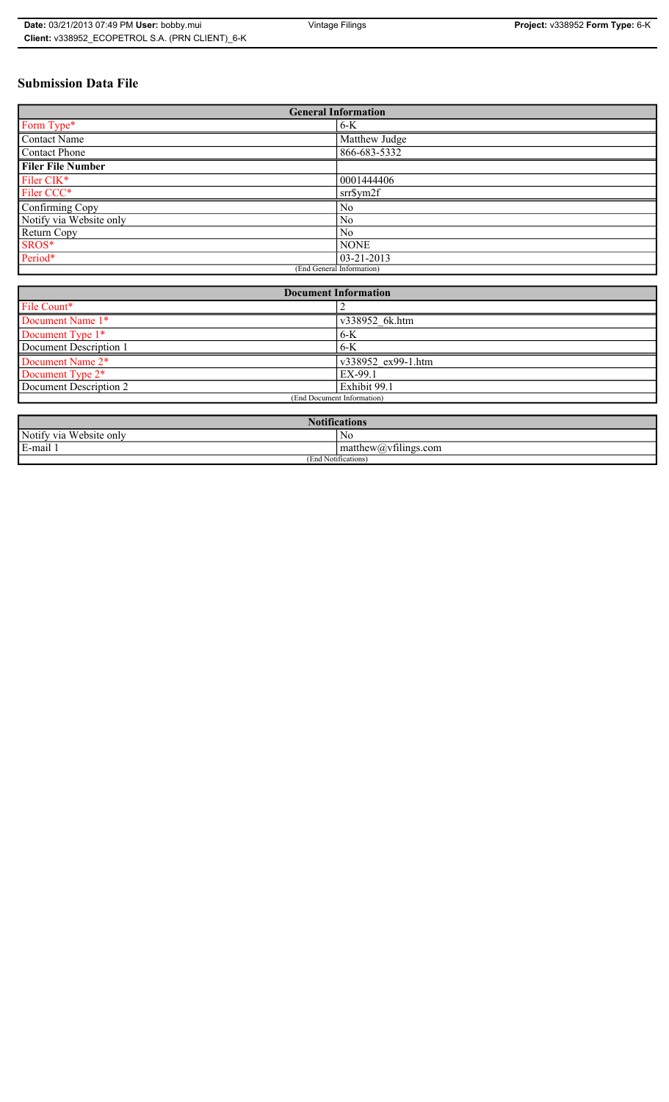# **Submission Data File**

| <b>General Information</b> |                  |
|----------------------------|------------------|
| Form Type*                 | $6-K$            |
| Contact Name               | Matthew Judge    |
| Contact Phone              | 866-683-5332     |
| <b>Filer File Number</b>   |                  |
| Filer CIK*                 | 0001444406       |
| Filer CCC*                 | srr\$ym2f        |
| Confirming Copy            | No               |
| Notify via Website only    | N <sub>0</sub>   |
| Return Copy                | N <sub>0</sub>   |
| SROS*                      | <b>NONE</b>      |
| Period*                    | $03 - 21 - 2013$ |
| (End General Information)  |                  |

| <b>Document Information</b>  |                    |
|------------------------------|--------------------|
| File Count*                  |                    |
| Document Name 1*             | v338952 6k.htm     |
| Document Type 1*             | $6-K$              |
| Document Description 1       | 6-K                |
| Document Name 2*             | v338952 ex99-1.htm |
| Document Type 2 <sup>*</sup> | EX-99.1            |
| Document Description 2       | Exhibit 99.1       |
| (End Document Information)   |                    |
|                              |                    |

| <b>Notifications</b>    |                                                   |
|-------------------------|---------------------------------------------------|
| Notify via Website only | N0                                                |
| E-mail 1                | $\sim$ 1.<br>$math>math>matrix(a)$ , villings.com |
| (End Notifications)     |                                                   |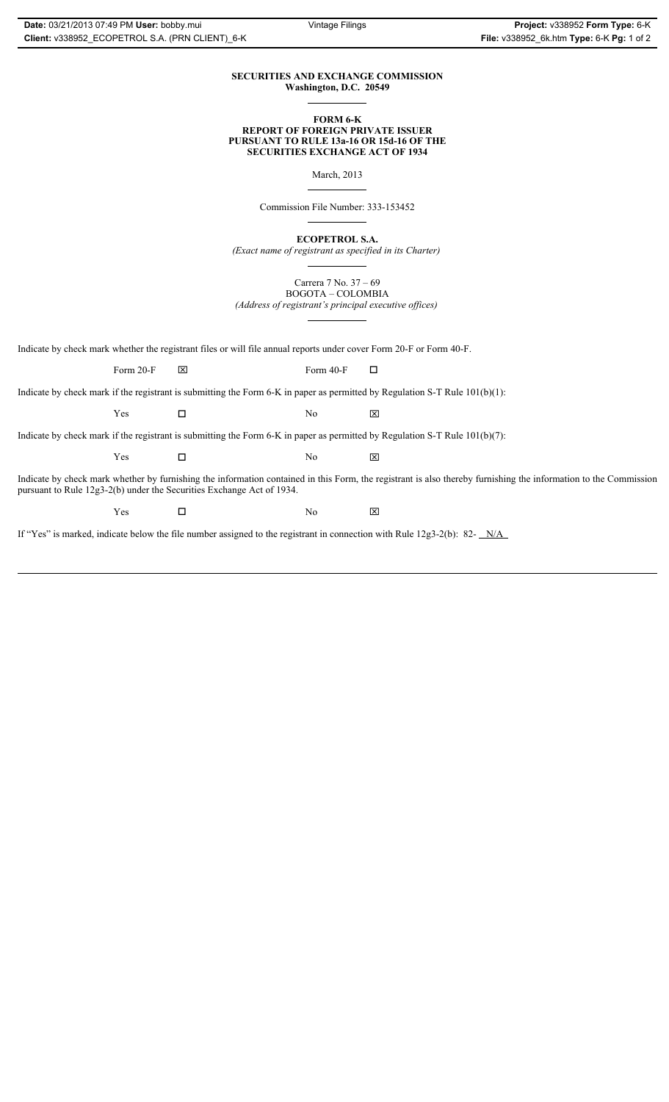### **SECURITIES AND EXCHANGE COMMISSION Washington, D.C. 20549**

### **FORM 6-K REPORT OF FOREIGN PRIVATE ISSUER PURSUANT TO RULE 13a-16 OR 15d-16 OF THE SECURITIES EXCHANGE ACT OF 1934**

March, 2013

Commission File Number: 333-153452

**ECOPETROL S.A.**

*(Exact name of registrant as specified in its Charter)*

Carrera 7 No. 37 – 69 BOGOTA – COLOMBIA

*(Address of registrant's principal executive offices)*

Indicate by check mark whether the registrant files or will file annual reports under cover Form 20-F or Form 40-F.

Form 20-F  $\boxtimes$  Form 40-F  $\Box$ 

Indicate by check mark if the registrant is submitting the Form 6-K in paper as permitted by Regulation S-T Rule 101(b)(1):

 $Yes$   $\Box$   $No$   $X$ 

Indicate by check mark if the registrant is submitting the Form 6-K in paper as permitted by Regulation S-T Rule 101(b)(7):

 $Yes$   $\Box$   $No$   $X$ 

Indicate by check mark whether by furnishing the information contained in this Form, the registrant is also thereby furnishing the information to the Commission pursuant to Rule 12g3-2(b) under the Securities Exchange Act of 1934.

 $Yes$   $\square$ 

If "Yes" is marked, indicate below the file number assigned to the registrant in connection with Rule 12g3-2(b): 82- N/A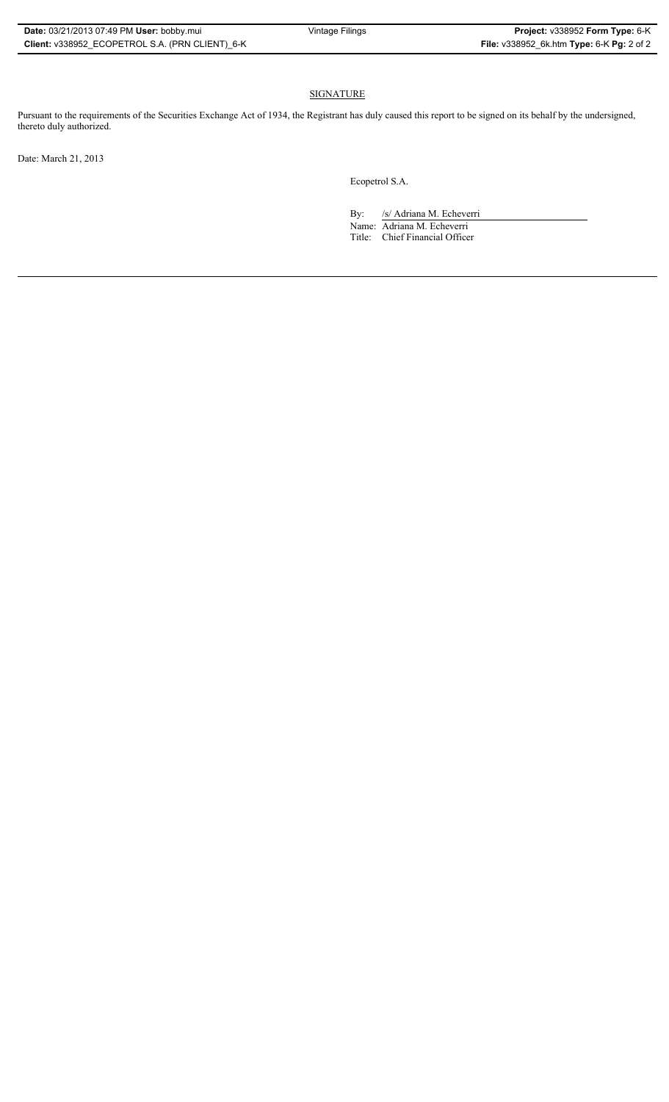## SIGNATURE

Pursuant to the requirements of the Securities Exchange Act of 1934, the Registrant has duly caused this report to be signed on its behalf by the undersigned, thereto duly authorized.

Date: March 21, 2013

Ecopetrol S.A.

By: /s/ Adriana M. Echeverri

Name: Adriana M. Echeverri Title: Chief Financial Officer